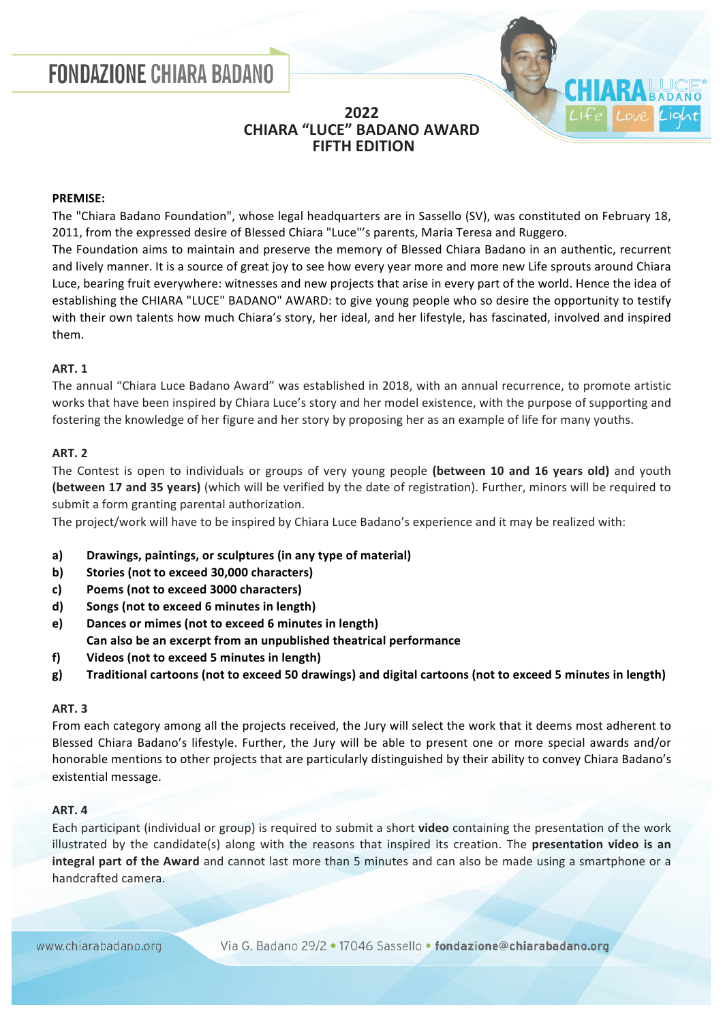# **FONDAZIONE CHIARA BADANO**



# **2022 CHIARA "LUCE" BADANO AWARD FIFTH EDITION**

#### **PREMISE:**

The "Chiara Badano Foundation", whose legal headquarters are in Sassello (SV), was constituted on February 18, 2011, from the expressed desire of Blessed Chiara "Luce"'s parents, Maria Teresa and Ruggero.

The Foundation aims to maintain and preserve the memory of Blessed Chiara Badano in an authentic, recurrent and lively manner. It is a source of great joy to see how every year more and more new Life sprouts around Chiara Luce, bearing fruit everywhere: witnesses and new projects that arise in every part of the world. Hence the idea of establishing the CHIARA "LUCE" BADANO" AWARD: to give young people who so desire the opportunity to testify with their own talents how much Chiara's story, her ideal, and her lifestyle, has fascinated, involved and inspired them.

## **ART. 1**

The annual "Chiara Luce Badano Award" was established in 2018, with an annual recurrence, to promote artistic works that have been inspired by Chiara Luce's story and her model existence, with the purpose of supporting and fostering the knowledge of her figure and her story by proposing her as an example of life for many youths.

## **ART. 2**

The Contest is open to individuals or groups of very young people (between 10 and 16 years old) and youth **(between 17 and 35 years)** (which will be verified by the date of registration). Further, minors will be required to submit a form granting parental authorization.

The project/work will have to be inspired by Chiara Luce Badano's experience and it may be realized with:

- a) Drawings, paintings, or sculptures (in any type of material)
- **b) Stories (not to exceed 30,000 characters)**
- **c) Poems (not to exceed 3000 characters)**
- **d) Songs (not to exceed 6 minutes in length)**
- **e) Dances or mimes (not to exceed 6 minutes in length)**
- **Can also be an excerpt from an unpublished theatrical performance**
- f) Videos (not to exceed 5 minutes in length)
- **g) Traditional cartoons (not to exceed 50 drawings) and digital cartoons (not to exceed 5 minutes in length)**

## **ART. 3**

From each category among all the projects received, the Jury will select the work that it deems most adherent to Blessed Chiara Badano's lifestyle. Further, the Jury will be able to present one or more special awards and/or honorable mentions to other projects that are particularly distinguished by their ability to convey Chiara Badano's existential message.

## **ART. 4**

Each participant (individual or group) is required to submit a short **video** containing the presentation of the work illustrated by the candidate(s) along with the reasons that inspired its creation. The **presentation video is an integral part of the Award** and cannot last more than 5 minutes and can also be made using a smartphone or a handcrafted camera.